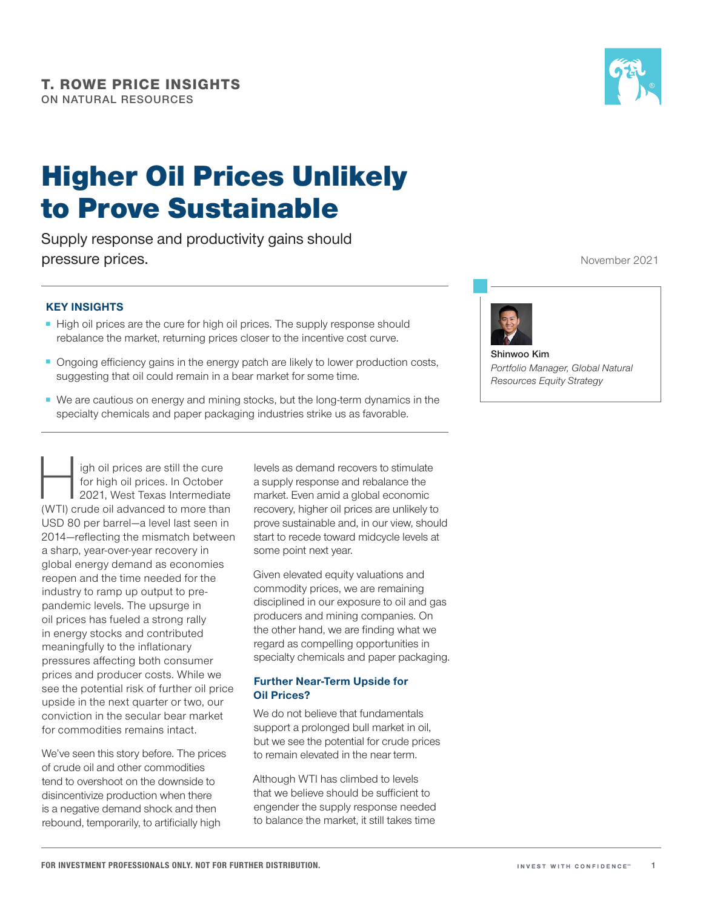# Higher Oil Prices Unlikely to Prove Sustainable

Supply response and productivity gains should pressure prices.

### KEY INSIGHTS

- High oil prices are the cure for high oil prices. The supply response should rebalance the market, returning prices closer to the incentive cost curve.
- Ongoing efficiency gains in the energy patch are likely to lower production costs, suggesting that oil could remain in a bear market for some time.
- We are cautious on energy and mining stocks, but the long-term dynamics in the specialty chemicals and paper packaging industries strike us as favorable.

igh oil prices are still the cure for high oil prices. In October 2021, West Texas Intermediate (WTI) crude oil advanced to more than USD 80 per barrel—a level last seen in 2014—reflecting the mismatch between a sharp, year-over-year recovery in global energy demand as economies reopen and the time needed for the industry to ramp up output to prepandemic levels. The upsurge in oil prices has fueled a strong rally in energy stocks and contributed meaningfully to the inflationary pressures affecting both consumer prices and producer costs. While we see the potential risk of further oil price upside in the next quarter or two, our conviction in the secular bear market for commodities remains intact.

We've seen this story before. The prices of crude oil and other commodities tend to overshoot on the downside to disincentivize production when there is a negative demand shock and then rebound, temporarily, to artificially high

levels as demand recovers to stimulate a supply response and rebalance the market. Even amid a global economic recovery, higher oil prices are unlikely to prove sustainable and, in our view, should start to recede toward midcycle levels at some point next year.

Given elevated equity valuations and commodity prices, we are remaining disciplined in our exposure to oil and gas producers and mining companies. On the other hand, we are finding what we regard as compelling opportunities in specialty chemicals and paper packaging.

#### Further Near-Term Upside for Oil Prices?

We do not believe that fundamentals support a prolonged bull market in oil, but we see the potential for crude prices to remain elevated in the near term.

Although WTI has climbed to levels that we believe should be sufficient to engender the supply response needed to balance the market, it still takes time

November 2021



**Shinwoo Kim** *Portfolio Manager, Global Natural Resources Equity Strategy*

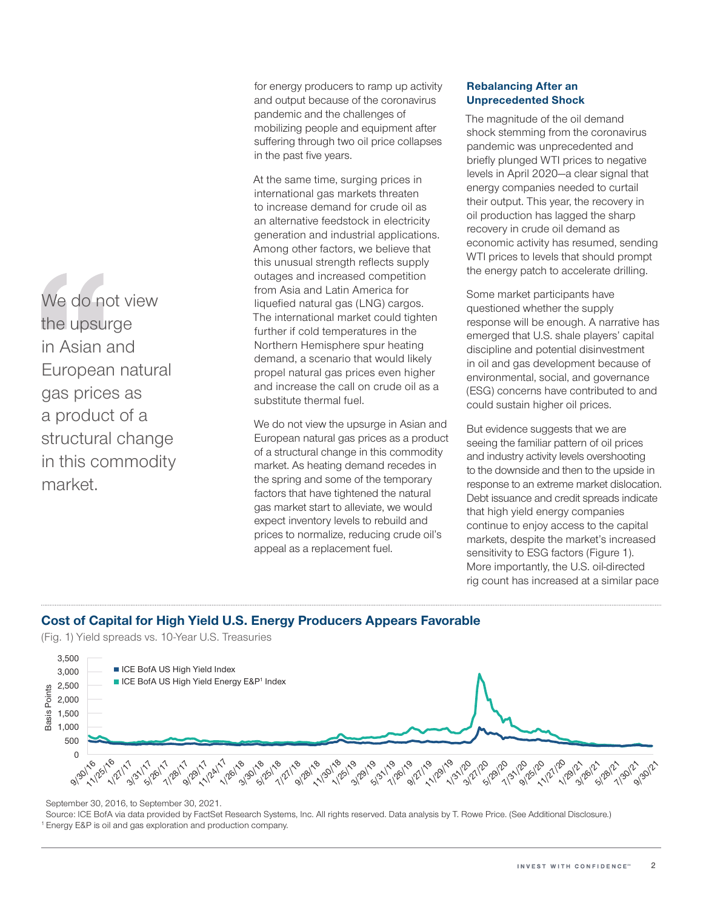We do not view the upsurge in Asian and European natural gas prices as a product of a structural change in this commodity market.

for energy producers to ramp up activity and output because of the coronavirus pandemic and the challenges of mobilizing people and equipment after suffering through two oil price collapses in the past five years.

At the same time, surging prices in international gas markets threaten to increase demand for crude oil as an alternative feedstock in electricity generation and industrial applications. Among other factors, we believe that this unusual strength reflects supply outages and increased competition from Asia and Latin America for liquefied natural gas (LNG) cargos. The international market could tighten further if cold temperatures in the Northern Hemisphere spur heating demand, a scenario that would likely propel natural gas prices even higher and increase the call on crude oil as a substitute thermal fuel.

We do not view the upsurge in Asian and European natural gas prices as a product of a structural change in this commodity market. As heating demand recedes in the spring and some of the temporary factors that have tightened the natural gas market start to alleviate, we would expect inventory levels to rebuild and prices to normalize, reducing crude oil's appeal as a replacement fuel.

#### Rebalancing After an Unprecedented Shock

The magnitude of the oil demand shock stemming from the coronavirus pandemic was unprecedented and briefly plunged WTI prices to negative levels in April 2020—a clear signal that energy companies needed to curtail their output. This year, the recovery in oil production has lagged the sharp recovery in crude oil demand as economic activity has resumed, sending WTI prices to levels that should prompt the energy patch to accelerate drilling.

Some market participants have questioned whether the supply response will be enough. A narrative has emerged that U.S. shale players' capital discipline and potential disinvestment in oil and gas development because of environmental, social, and governance (ESG) concerns have contributed to and could sustain higher oil prices.

But evidence suggests that we are seeing the familiar pattern of oil prices and industry activity levels overshooting to the downside and then to the upside in response to an extreme market dislocation. Debt issuance and credit spreads indicate that high yield energy companies continue to enjoy access to the capital markets, despite the market's increased sensitivity to ESG factors (Figure 1). More importantly, the U.S. oil-directed rig count has increased at a similar pace

# Cost of Capital for High Yield U.S. Energy Producers Appears Favorable

(Fig. 1) Yield spreads vs. 10-Year U.S. Treasuries



September 30, 2016, to September 30, 2021.

Source: ICE BofA via data provided by FactSet Research Systems, Inc. All rights reserved. Data analysis by T. Rowe Price. (See Additional Disclosure.) <sup>1</sup> Energy E&P is oil and gas exploration and production company.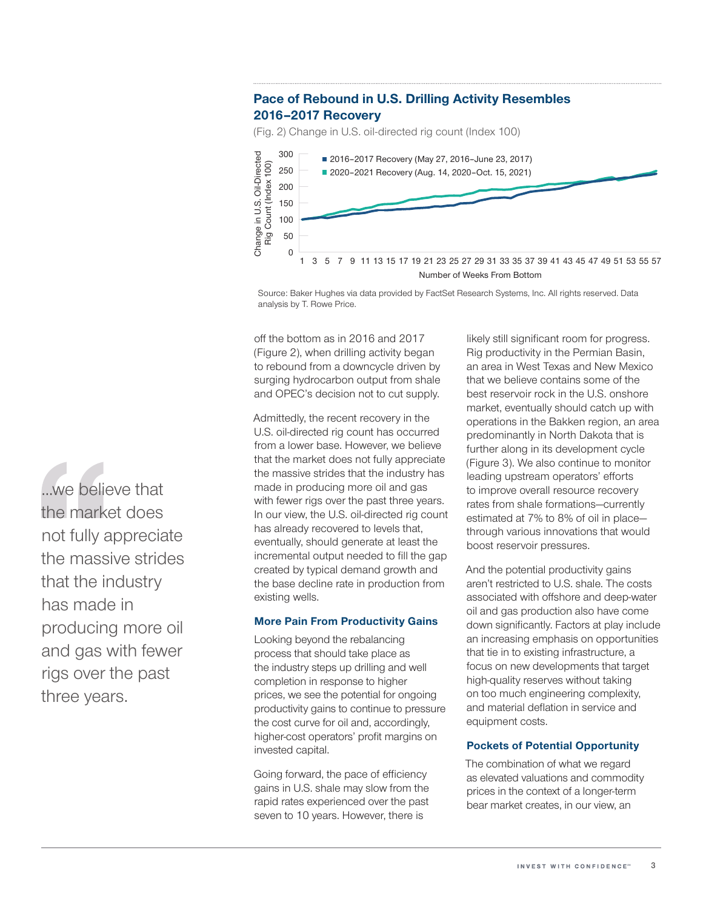# Pace of Rebound in U.S. Drilling Activity Resembles 2016–2017 Recovery

(Fig. 2) Change in U.S. oil-directed rig count (Index 100)



Source: Baker Hughes via data provided by FactSet Research Systems, Inc. All rights reserved. Data analysis by T. Rowe Price.

off the bottom as in 2016 and 2017 (Figure 2), when drilling activity began to rebound from a downcycle driven by surging hydrocarbon output from shale and OPEC's decision not to cut supply.

Admittedly, the recent recovery in the U.S. oil-directed rig count has occurred from a lower base. However, we believe that the market does not fully appreciate the massive strides that the industry has made in producing more oil and gas with fewer rigs over the past three years. In our view, the U.S. oil-directed rig count has already recovered to levels that, eventually, should generate at least the incremental output needed to fill the gap created by typical demand growth and the base decline rate in production from existing wells.

#### More Pain From Productivity Gains

Looking beyond the rebalancing process that should take place as the industry steps up drilling and well completion in response to higher prices, we see the potential for ongoing productivity gains to continue to pressure the cost curve for oil and, accordingly, higher-cost operators' profit margins on invested capital.

Going forward, the pace of efficiency gains in U.S. shale may slow from the rapid rates experienced over the past seven to 10 years. However, there is

likely still significant room for progress. Rig productivity in the Permian Basin, an area in West Texas and New Mexico that we believe contains some of the best reservoir rock in the U.S. onshore market, eventually should catch up with operations in the Bakken region, an area predominantly in North Dakota that is further along in its development cycle (Figure 3). We also continue to monitor leading upstream operators' efforts to improve overall resource recovery rates from shale formations—currently estimated at 7% to 8% of oil in place through various innovations that would boost reservoir pressures.

And the potential productivity gains aren't restricted to U.S. shale. The costs associated with offshore and deep-water oil and gas production also have come down significantly. Factors at play include an increasing emphasis on opportunities that tie in to existing infrastructure, a focus on new developments that target high-quality reserves without taking on too much engineering complexity, and material deflation in service and equipment costs.

### Pockets of Potential Opportunity

The combination of what we regard as elevated valuations and commodity prices in the context of a longer-term bear market creates, in our view, an

...we believe that the market does not fully appreciate the massive strides that the industry has made in producing more oil and gas with fewer rigs over the past three years.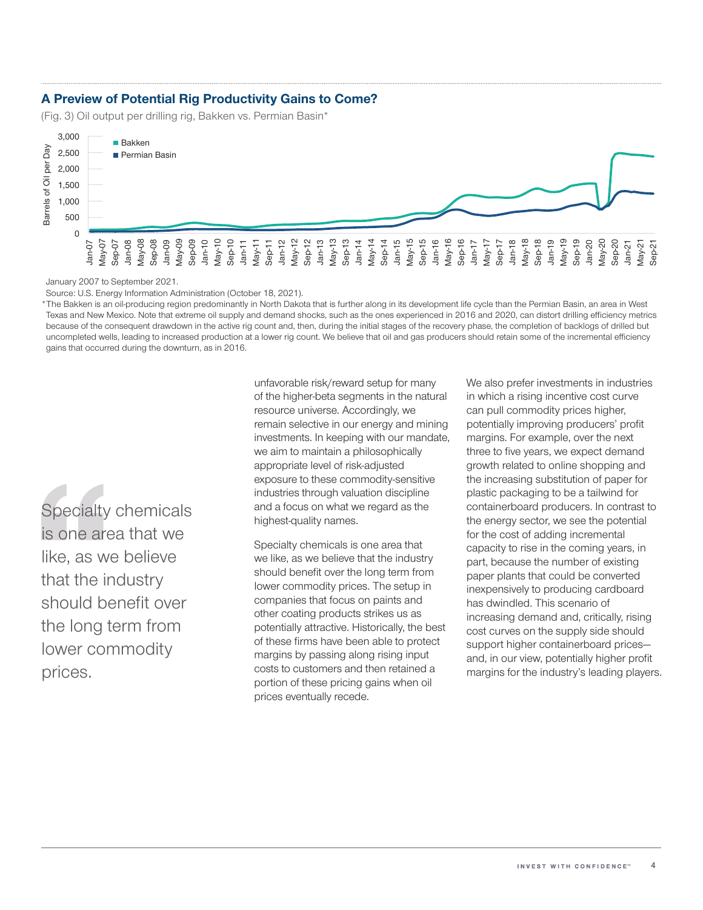## A Preview of Potential Rig Productivity Gains to Come?

(Fig. 3) Oil output per drilling rig, Bakken vs. Permian Basin\*



January 2007 to September 2021.

Source: U.S. Energy Information Administration (October 18, 2021).

\*The Bakken is an oil-producing region predominantly in North Dakota that is further along in its development life cycle than the Permian Basin, an area in West Texas and New Mexico. Note that extreme oil supply and demand shocks, such as the ones experienced in 2016 and 2020, can distort drilling efficiency metrics because of the consequent drawdown in the active rig count and, then, during the initial stages of the recovery phase, the completion of backlogs of drilled but uncompleted wells, leading to increased production at a lower rig count. We believe that oil and gas producers should retain some of the incremental efficiency gains that occurred during the downturn, as in 2016.

Specialty chemicals is one area that we like, as we believe that the industry should benefit over the long term from lower commodity prices.

unfavorable risk/reward setup for many of the higher-beta segments in the natural resource universe. Accordingly, we remain selective in our energy and mining investments. In keeping with our mandate, we aim to maintain a philosophically appropriate level of risk-adjusted exposure to these commodity-sensitive industries through valuation discipline and a focus on what we regard as the highest-quality names.

Specialty chemicals is one area that we like, as we believe that the industry should benefit over the long term from lower commodity prices. The setup in companies that focus on paints and other coating products strikes us as potentially attractive. Historically, the best of these firms have been able to protect margins by passing along rising input costs to customers and then retained a portion of these pricing gains when oil prices eventually recede.

We also prefer investments in industries in which a rising incentive cost curve can pull commodity prices higher, potentially improving producers' profit margins. For example, over the next three to five years, we expect demand growth related to online shopping and the increasing substitution of paper for plastic packaging to be a tailwind for containerboard producers. In contrast to the energy sector, we see the potential for the cost of adding incremental capacity to rise in the coming years, in part, because the number of existing paper plants that could be converted inexpensively to producing cardboard has dwindled. This scenario of increasing demand and, critically, rising cost curves on the supply side should support higher containerboard prices and, in our view, potentially higher profit margins for the industry's leading players.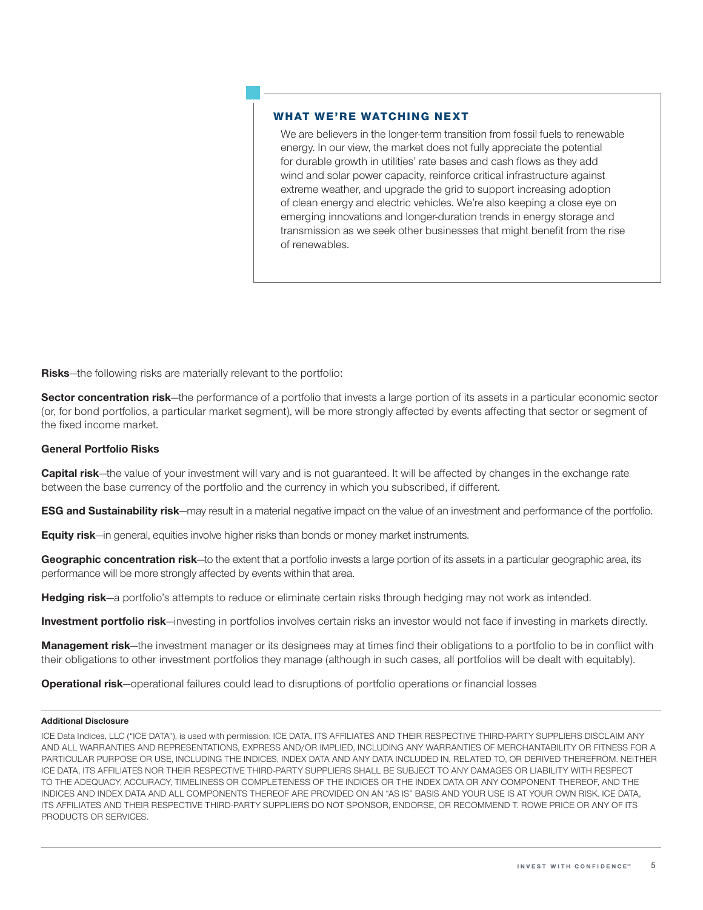#### WHAT WE'RE WATCHING NEXT

We are believers in the longer-term transition from fossil fuels to renewable energy. In our view, the market does not fully appreciate the potential for durable growth in utilities' rate bases and cash flows as they add wind and solar power capacity, reinforce critical infrastructure against extreme weather, and upgrade the grid to support increasing adoption of clean energy and electric vehicles. We're also keeping a close eye on emerging innovations and longer-duration trends in energy storage and transmission as we seek other businesses that might benefit from the rise of renewables.

Risks-the following risks are materially relevant to the portfolio:

Sector concentration risk—the performance of a portfolio that invests a large portion of its assets in a particular economic sector (or, for bond portfolios, a particular market segment), will be more strongly affected by events affecting that sector or segment of the fixed income market.

#### General Portfolio Risks

Capital risk—the value of your investment will vary and is not guaranteed. It will be affected by changes in the exchange rate between the base currency of the portfolio and the currency in which you subscribed, if different.

ESG and Sustainability risk—may result in a material negative impact on the value of an investment and performance of the portfolio.

Equity risk—in general, equities involve higher risks than bonds or money market instruments.

Geographic concentration risk—to the extent that a portfolio invests a large portion of its assets in a particular geographic area, its performance will be more strongly affected by events within that area.

Hedging risk—a portfolio's attempts to reduce or eliminate certain risks through hedging may not work as intended.

Investment portfolio risk—investing in portfolios involves certain risks an investor would not face if investing in markets directly.

Management risk—the investment manager or its designees may at times find their obligations to a portfolio to be in conflict with their obligations to other investment portfolios they manage (although in such cases, all portfolios will be dealt with equitably).

**Operational risk**—operational failures could lead to disruptions of portfolio operations or financial losses

#### Additional Disclosure

ICE Data Indices, LLC ("ICE DATA"), is used with permission. ICE DATA, ITS AFFILIATES AND THEIR RESPECTIVE THIRD-PARTY SUPPLIERS DISCLAIM ANY AND ALL WARRANTIES AND REPRESENTATIONS, EXPRESS AND/OR IMPLIED, INCLUDING ANY WARRANTIES OF MERCHANTABILITY OR FITNESS FOR A PARTICULAR PURPOSE OR USE, INCLUDING THE INDICES, INDEX DATA AND ANY DATA INCLUDED IN, RELATED TO, OR DERIVED THEREFROM. NEITHER ICE DATA, ITS AFFILIATES NOR THEIR RESPECTIVE THIRD-PARTY SUPPLIERS SHALL BE SUBJECT TO ANY DAMAGES OR LIABILITY WITH RESPECT TO THE ADEQUACY, ACCURACY, TIMELINESS OR COMPLETENESS OF THE INDICES OR THE INDEX DATA OR ANY COMPONENT THEREOF, AND THE INDICES AND INDEX DATA AND ALL COMPONENTS THEREOF ARE PROVIDED ON AN "AS IS" BASIS AND YOUR USE IS AT YOUR OWN RISK. ICE DATA, ITS AFFILIATES AND THEIR RESPECTIVE THIRD-PARTY SUPPLIERS DO NOT SPONSOR, ENDORSE, OR RECOMMEND T. ROWE PRICE OR ANY OF ITS PRODUCTS OR SERVICES.